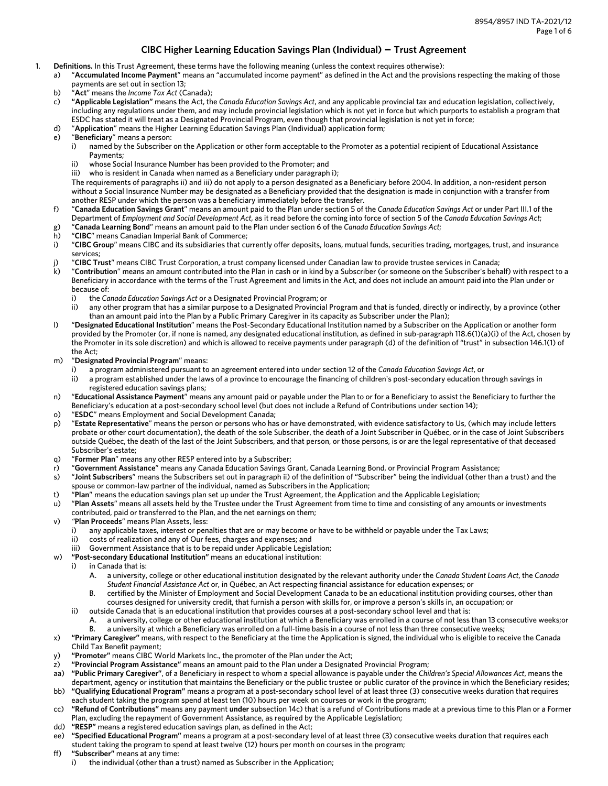# **CIBC Higher Learning Education Savings Plan (Individual) – Trust Agreement**

- 1. **Definitions.** In this Trust Agreement, these terms have the following meaning (unless the context requires otherwise):
	- a) "**Accumulated Income Payment**" means an "accumulated income payment" as defined in the Act and the provisions respecting the making of those payments are set out in section 13;
		- b) "**Act**" means the *Income Tax Act* (Canada);
	- c) **"Applicable Legislation"** means the Act, the *Canada Education Savings Act*, and any applicable provincial tax and education legislation, collectively, including any regulations under them, and may include provincial legislation which is not yet in force but which purports to establish a program that ESDC has stated it will treat as a Designated Provincial Program, even though that provincial legislation is not yet in force;
	- d) "**Application**" means the Higher Learning Education Savings Plan (Individual) application form;
	- e) "**Beneficiary**" means a person:
		- i) named by the Subscriber on the Application or other form acceptable to the Promoter as a potential recipient of Educational Assistance Payments;
		- ii) whose Social Insurance Number has been provided to the Promoter; and
		- iii) who is resident in Canada when named as a Beneficiary under paragraph i);

The requirements of paragraphs ii) and iii) do not apply to a person designated as a Beneficiary before 2004. In addition, a non-resident person without a Social Insurance Number may be designated as a Beneficiary provided that the designation is made in conjunction with a transfer from another RESP under which the person was a beneficiary immediately before the transfer.

f) "**Canada Education Savings Grant**" means an amount paid to the Plan under section 5 of the *Canada Education Savings Act* or under Part III.1 of the Department of *Employment and Social Development Act*, as it read before the coming into force of section 5 of the *Canada Education Savings Act*;

g) "**Canada Learning Bond**" means an amount paid to the Plan under section 6 of the *Canada Education Savings Act*;

- h) "**CIBC**" means Canadian Imperial Bank of Commerce;
- i) "**CIBC Group**" means CIBC and its subsidiaries that currently offer deposits, loans, mutual funds, securities trading, mortgages, trust, and insurance services;
- j) "**CIBC Trust**" means CIBC Trust Corporation, a trust company licensed under Canadian law to provide trustee services in Canada;
- k) "**Contribution**" means an amount contributed into the Plan in cash or in kind by a Subscriber (or someone on the Subscriber's behalf) with respect to a Beneficiary in accordance with the terms of the Trust Agreement and limits in the Act, and does not include an amount paid into the Plan under or because of:
	- i) the *Canada Education Savings Act* or a Designated Provincial Program; or
	- ii) any other program that has a similar purpose to a Designated Provincial Program and that is funded, directly or indirectly, by a province (other than an amount paid into the Plan by a Public Primary Caregiver in its capacity as Subscriber under the Plan);
- l) "**Designated Educational Institution**" means the Post-Secondary Educational Institution named by a Subscriber on the Application or another form provided by the Promoter (or, if none is named, any designated educational institution, as defined in sub-paragraph 118.6(1)(a)(i) of the Act, chosen by the Promoter in its sole discretion) and which is allowed to receive payments under paragraph (d) of the definition of "trust" in subsection 146.1(1) of the Act;
- m) "**Designated Provincial Program**" means:
	- i) a program administered pursuant to an agreement entered into under section 12 of the *Canada Education Savings Act*, or
	- ii) a program established under the laws of a province to encourage the financing of children's post-secondary education through savings in registered education savings plans;
- n) "**Educational Assistance Payment**" means any amount paid or payable under the Plan to or for a Beneficiary to assist the Beneficiary to further the Beneficiary's education at a post-secondary school level (but does not include a Refund of Contributions under section 14);
- o) "**ESDC**" means Employment and Social Development Canada;
- p) "**Estate Representative**" means the person or persons who has or have demonstrated, with evidence satisfactory to Us, (which may include letters probate or other court documentation), the death of the sole Subscriber, the death of a Joint Subscriber in Québec, or in the case of Joint Subscribers outside Québec, the death of the last of the Joint Subscribers, and that person, or those persons, is or are the legal representative of that deceased Subscriber's estate;
- q) "**Former Plan**" means any other RESP entered into by a Subscriber;
- r) "**Government Assistance**" means any Canada Education Savings Grant, Canada Learning Bond, or Provincial Program Assistance;
- s) "**Joint Subscribers**" means the Subscribers set out in paragraph ii) of the definition of "Subscriber" being the individual (other than a trust) and the spouse or common-law partner of the individual, named as Subscribers in the Application;
- t) "**Plan**" means the education savings plan set up under the Trust Agreement, the Application and the Applicable Legislation;
- u) "**Plan Assets**" means all assets held by the Trustee under the Trust Agreement from time to time and consisting of any amounts or investments contributed, paid or transferred to the Plan, and the net earnings on them;
- v) *"***Plan Proceeds**" means Plan Assets, less:
	- i) any applicable taxes, interest or penalties that are or may become or have to be withheld or payable under the Tax Laws;
	- ii) costs of realization and any of Our fees, charges and expenses; and
	- iii) Government Assistance that is to be repaid under Applicable Legislation;
- w) **"Post-secondary Educational Institution"** means an educational institution:
- i) in Canada that is:
	- A. a university, college or other educational institution designated by the relevant authority under the *Canada Student Loans Act*, the *Canada Student Financial Assistance Act* or, in Québec, an Act respecting financial assistance for education expenses; or
	- B. certified by the Minister of Employment and Social Development Canada to be an educational institution providing courses, other than courses designed for university credit, that furnish a person with skills for, or improve a person's skills in, an occupation; or
	- ii) outside Canada that is an educational institution that provides courses at a post-secondary school level and that is: A. a university, college or other educational institution at which a Beneficiary was enrolled in a course of not less than 13 consecutive weeks;or
		- B. a university at which a Beneficiary was enrolled on a full-time basis in a course of not less than three consecutive weeks;
- x) **"Primary Caregiver"** means, with respect to the Beneficiary at the time the Application is signed, the individual who is eligible to receive the Canada Child Tax Benefit payment;
- y) **"Promoter"** means CIBC World Markets Inc., the promoter of the Plan under the Act;
- z) **"Provincial Program Assistance"** means an amount paid to the Plan under a Designated Provincial Program;
- aa) **"Public Primary Caregiver"**, of a Beneficiary in respect to whom a special allowance is payable under the *Children's Special Allowances Act*, means the department, agency or institution that maintains the Beneficiary or the public trustee or public curator of the province in which the Beneficiary resides;
- bb) **"Qualifying Educational Program"** means a program at a post-secondary school level of at least three (3) consecutive weeks duration that requires each student taking the program spend at least ten (10) hours per week on courses or work in the program;
- cc) **"Refund of Contributions"** means any payment **under** subsection 14c) that is a refund of Contributions made at a previous time to this Plan or a Former Plan, excluding the repayment of Government Assistance, as required by the Applicable Legislation;
- dd) **"RESP"** means a registered education savings plan, as defined in the Act;
- ee) **"Specified Educational Program"** means a program at a post-secondary level of at least three (3) consecutive weeks duration that requires each student taking the program to spend at least twelve (12) hours per month on courses in the program;
- ff) **"Subscriber"** means at any time:
	- i) the individual (other than a trust) named as Subscriber in the Application;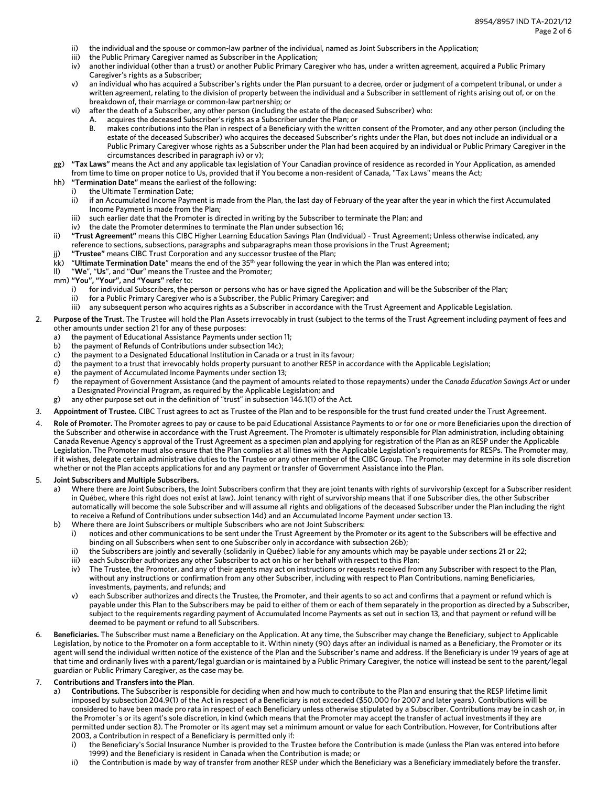- ii) the individual and the spouse or common-law partner of the individual, named as Joint Subscribers in the Application;
- iii) the Public Primary Caregiver named as Subscriber in the Application;
- iv) another individual (other than a trust) or another Public Primary Caregiver who has, under a written agreement, acquired a Public Primary Caregiver's rights as a Subscriber;
- v) an individual who has acquired a Subscriber's rights under the Plan pursuant to a decree, order or judgment of a competent tribunal, or under a written agreement, relating to the division of property between the individual and a Subscriber in settlement of rights arising out of, or on the breakdown of, their marriage or common-law partnership; or
- vi) after the death of a Subscriber, any other person (including the estate of the deceased Subscriber) who:
	- A. acquires the deceased Subscriber's rights as a Subscriber under the Plan; or
	- B. makes contributions into the Plan in respect of a Beneficiary with the written consent of the Promoter, and any other person (including the estate of the deceased Subscriber) who acquires the deceased Subscriber's rights under the Plan, but does not include an individual or a Public Primary Caregiver whose rights as a Subscriber under the Plan had been acquired by an individual or Public Primary Caregiver in the circumstances described in paragraph iv) or v);
- gg) **"Tax Laws"** means the Act and any applicable tax legislation of Your Canadian province of residence as recorded in Your Application, as amended from time to time on proper notice to Us, provided that if You become a non-resident of Canada, "Tax Laws" means the Act;
- hh) **"Termination Date"** means the earliest of the following:
- i) the Ultimate Termination Date;
	- ii) if an Accumulated Income Payment is made from the Plan, the last day of February of the year after the year in which the first Accumulated Income Payment is made from the Plan;
	- iii) such earlier date that the Promoter is directed in writing by the Subscriber to terminate the Plan; and
	- iv) the date the Promoter determines to terminate the Plan under subsection 16;
- ii) **"Trust Agreement"** means this CIBC Higher Learning Education Savings Plan (Individual) Trust Agreement; Unless otherwise indicated, any reference to sections, subsections, paragraphs and subparagraphs mean those provisions in the Trust Agreement;
- jj) **"Trustee"** means CIBC Trust Corporation and any successor trustee of the Plan;
- kk) "**Ultimate Termination Date**" means the end of the 35th year following the year in which the Plan was entered into;
- ll) "**We**", "**Us**", and "**Our**" means the Trustee and the Promoter;
- mm) **"You", "Your",** and **"Yours"** refer to:
	- i) for individual Subscribers, the person or persons who has or have signed the Application and will be the Subscriber of the Plan;
	- ii) for a Public Primary Caregiver who is a Subscriber, the Public Primary Caregiver; and
	- iii) any subsequent person who acquires rights as a Subscriber in accordance with the Trust Agreement and Applicable Legislation.
- 2. **Purpose of the Trust**. The Trustee will hold the Plan Assets irrevocably in trust (subject to the terms of the Trust Agreement including payment of fees and other amounts under section 21 for any of these purposes:
	- a) the payment of Educational Assistance Payments under section 11;
	- b) the payment of Refunds of Contributions under subsection 14c);
	- c) the payment to a Designated Educational Institution in Canada or a trust in its favour;
	- d) the payment to a trust that irrevocably holds property pursuant to another RESP in accordance with the Applicable Legislation;
	- e) the payment of Accumulated Income Payments under section 13;
	- f) the repayment of Government Assistance (and the payment of amounts related to those repayments) under the *Canada Education Savings Act* or under a Designated Provincial Program, as required by the Applicable Legislation; and
	- g) any other purpose set out in the definition of "trust" in subsection 146.1(1) of the Act.
- 3. **Appointment of Trustee.** CIBC Trust agrees to act as Trustee of the Plan and to be responsible for the trust fund created under the Trust Agreement.
- Role of Promoter. The Promoter agrees to pay or cause to be paid Educational Assistance Payments to or for one or more Beneficiaries upon the direction of the Subscriber and otherwise in accordance with the Trust Agreement. The Promoter is ultimately responsible for Plan administration, including obtaining Canada Revenue Agency's approval of the Trust Agreement as a specimen plan and applying for registration of the Plan as an RESP under the Applicable Legislation. The Promoter must also ensure that the Plan complies at all times with the Applicable Legislation's requirements for RESPs. The Promoter may, if it wishes, delegate certain administrative duties to the Trustee or any other member of the CIBC Group. The Promoter may determine in its sole discretion whether or not the Plan accepts applications for and any payment or transfer of Government Assistance into the Plan.

#### 5. **Joint Subscribers and Multiple Subscribers.**

- a) Where there are Joint Subscribers, the Joint Subscribers confirm that they are joint tenants with rights of survivorship (except for a Subscriber resident in Québec, where this right does not exist at law). Joint tenancy with right of survivorship means that if one Subscriber dies, the other Subscriber automatically will become the sole Subscriber and will assume all rights and obligations of the deceased Subscriber under the Plan including the right to receive a Refund of Contributions under subsection 14d) and an Accumulated Income Payment under section 13.
- b) Where there are Joint Subscribers or multiple Subscribers who are not Joint Subscribers:
	- i) notices and other communications to be sent under the Trust Agreement by the Promoter or its agent to the Subscribers will be effective and binding on all Subscribers when sent to one Subscriber only in accordance with subsection 26b);
	- ii) the Subscribers are jointly and severally (solidarily in Québec) liable for any amounts which may be payable under sections 21 or 22;
	- iii) each Subscriber authorizes any other Subscriber to act on his or her behalf with respect to this Plan;
	- iv) The Trustee, the Promoter, and any of their agents may act on instructions or requests received from any Subscriber with respect to the Plan, without any instructions or confirmation from any other Subscriber, including with respect to Plan Contributions, naming Beneficiaries, investments, payments, and refunds; and
	- v) each Subscriber authorizes and directs the Trustee, the Promoter, and their agents to so act and confirms that a payment or refund which is payable under this Plan to the Subscribers may be paid to either of them or each of them separately in the proportion as directed by a Subscriber, subject to the requirements regarding payment of Accumulated Income Payments as set out in section 13, and that payment or refund will be deemed to be payment or refund to all Subscribers.
- 6. **Beneficiaries.** The Subscriber must name a Beneficiary on the Application. At any time, the Subscriber may change the Beneficiary, subject to Applicable Legislation, by notice to the Promoter on a form acceptable to it. Within ninety (90) days after an individual is named as a Beneficiary, the Promoter or its agent will send the individual written notice of the existence of the Plan and the Subscriber's name and address. If the Beneficiary is under 19 years of age at that time and ordinarily lives with a parent/legal guardian or is maintained by a Public Primary Caregiver, the notice will instead be sent to the parent/legal guardian or Public Primary Caregiver, as the case may be.

## 7. **Contributions and Transfers into the Plan**.

- a) **Contributions**. The Subscriber is responsible for deciding when and how much to contribute to the Plan and ensuring that the RESP lifetime limit imposed by subsection 204.9(1) of the Act in respect of a Beneficiary is not exceeded (\$50,000 for 2007 and later years). Contributions will be considered to have been made pro rata in respect of each Beneficiary unless otherwise stipulated by a Subscriber. Contributions may be in cash or, in the Promoter`s or its agent's sole discretion, in kind (which means that the Promoter may accept the transfer of actual investments if they are permitted under section 8). The Promoter or its agent may set a minimum amount or value for each Contribution. However, for Contributions after 2003, a Contribution in respect of a Beneficiary is permitted only if:
	- i) the Beneficiary's Social Insurance Number is provided to the Trustee before the Contribution is made (unless the Plan was entered into before 1999) and the Beneficiary is resident in Canada when the Contribution is made; or
	- ii) the Contribution is made by way of transfer from another RESP under which the Beneficiary was a Beneficiary immediately before the transfer.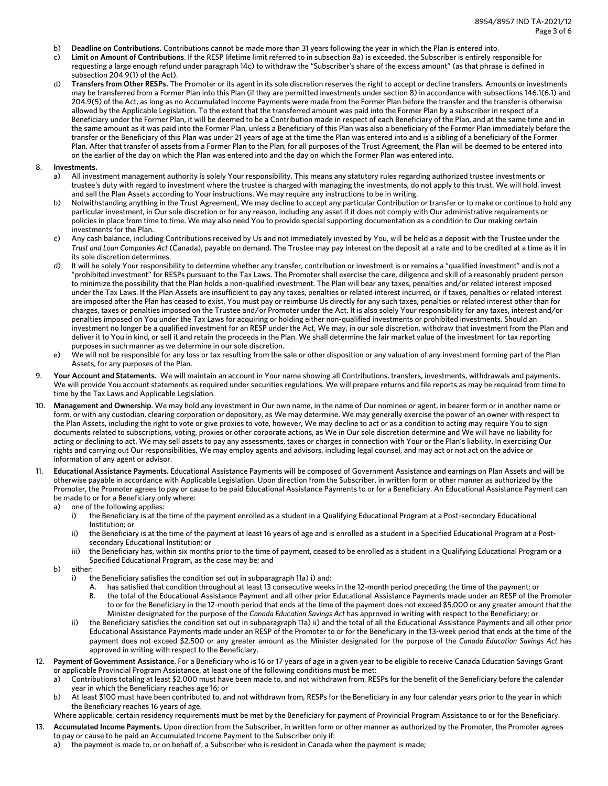- b) **Deadline on Contributions.** Contributions cannot be made more than 31 years following the year in which the Plan is entered into.
- c) **Limit on Amount of Contributions**. If the RESP lifetime limit referred to in subsection 8a) is exceeded, the Subscriber is entirely responsible for requesting a large enough refund under paragraph 14c) to withdraw the "Subscriber's share of the excess amount" (as that phrase is defined in subsection 204.9(1) of the Act).
- d) **Transfers from Other RESPs.** The Promoter or its agent in its sole discretion reserves the right to accept or decline transfers. Amounts or investments may be transferred from a Former Plan into this Plan (if they are permitted investments under section 8) in accordance with subsections 146.1(6.1) and 204.9(5) of the Act, as long as no Accumulated Income Payments were made from the Former Plan before the transfer and the transfer is otherwise allowed by the Applicable Legislation. To the extent that the transferred amount was paid into the Former Plan by a subscriber in respect of a Beneficiary under the Former Plan, it will be deemed to be a Contribution made in respect of each Beneficiary of the Plan, and at the same time and in the same amount as it was paid into the Former Plan, unless a Beneficiary of this Plan was also a beneficiary of the Former Plan immediately before the transfer or the Beneficiary of this Plan was under 21 years of age at the time the Plan was entered into and is a sibling of a beneficiary of the Former Plan. After that transfer of assets from a Former Plan to the Plan, for all purposes of the Trust Agreement, the Plan will be deemed to be entered into on the earlier of the day on which the Plan was entered into and the day on which the Former Plan was entered into.

#### 8. **Investments.**

- a) All investment management authority is solely Your responsibility. This means any statutory rules regarding authorized trustee investments or trustee's duty with regard to investment where the trustee is charged with managing the investments, do not apply to this trust. We will hold, invest and sell the Plan Assets according to Your instructions. We may require any instructions to be in writing.
- b) Notwithstanding anything in the Trust Agreement, We may decline to accept any particular Contribution or transfer or to make or continue to hold any particular investment, in Our sole discretion or for any reason, including any asset if it does not comply with Our administrative requirements or policies in place from time to time. We may also need You to provide special supporting documentation as a condition to Our making certain investments for the Plan.
- c) Any cash balance, including Contributions received by Us and not immediately invested by You, will be held as a deposit with the Trustee under the *Trust and Loan Companies Act* (Canada), payable on demand. The Trustee may pay interest on the deposit at a rate and to be credited at a time as it in its sole discretion determines.
- d) It will be solely Your responsibility to determine whether any transfer, contribution or investment is or remains a "qualified investment" and is not a "prohibited investment" for RESPs pursuant to the Tax Laws. The Promoter shall exercise the care, diligence and skill of a reasonably prudent person to minimize the possibility that the Plan holds a non-qualified investment. The Plan will bear any taxes, penalties and/or related interest imposed under the Tax Laws. If the Plan Assets are insufficient to pay any taxes, penalties or related interest incurred, or if taxes, penalties or related interest are imposed after the Plan has ceased to exist, You must pay or reimburse Us directly for any such taxes, penalties or related interest other than for charges, taxes or penalties imposed on the Trustee and/or Promoter under the Act. It is also solely Your responsibility for any taxes, interest and/or penalties imposed on You under the Tax Laws for acquiring or holding either non-qualified investments or prohibited investments. Should an investment no longer be a qualified investment for an RESP under the Act, We may, in our sole discretion, withdraw that investment from the Plan and deliver it to You in kind, or sell it and retain the proceeds in the Plan. We shall determine the fair market value of the investment for tax reporting purposes in such manner as we determine in our sole discretion.
- e) We will not be responsible for any loss or tax resulting from the sale or other disposition or any valuation of any investment forming part of the Plan Assets, for any purposes of the Plan.
- 9. **Your Account and Statements.** We will maintain an account in Your name showing all Contributions, transfers, investments, withdrawals and payments. We will provide You account statements as required under securities regulations. We will prepare returns and file reports as may be required from time to time by the Tax Laws and Applicable Legislation.
- 10. **Management and Ownership**. We may hold any investment in Our own name, in the name of Our nominee or agent, in bearer form or in another name or form, or with any custodian, clearing corporation or depository, as We may determine. We may generally exercise the power of an owner with respect to the Plan Assets, including the right to vote or give proxies to vote, however, We may decline to act or as a condition to acting may require You to sign documents related to subscriptions, voting, proxies or other corporate actions, as We in Our sole discretion determine and We will have no liability for acting or declining to act. We may sell assets to pay any assessments, taxes or charges in connection with Your or the Plan's liability. In exercising Our rights and carrying out Our responsibilities, We may employ agents and advisors, including legal counsel, and may act or not act on the advice or information of any agent or advisor.
- 11. **Educational Assistance Payments.** Educational Assistance Payments will be composed of Government Assistance and earnings on Plan Assets and will be otherwise payable in accordance with Applicable Legislation. Upon direction from the Subscriber, in written form or other manner as authorized by the Promoter, the Promoter agrees to pay or cause to be paid Educational Assistance Payments to or for a Beneficiary. An Educational Assistance Payment can be made to or for a Beneficiary only where:
	- a) one of the following applies:
		- i) the Beneficiary is at the time of the payment enrolled as a student in a Qualifying Educational Program at a Post-secondary Educational Institution; or
		- ii) the Beneficiary is at the time of the payment at least 16 years of age and is enrolled as a student in a Specified Educational Program at a Postsecondary Educational Institution; or
		- iii) the Beneficiary has, within six months prior to the time of payment, ceased to be enrolled as a student in a Qualifying Educational Program or a Specified Educational Program, as the case may be; and
	- b) either:
		- i) the Beneficiary satisfies the condition set out in subparagraph 11a) i) and:
			- A. has satisfied that condition throughout at least 13 consecutive weeks in the 12-month period preceding the time of the payment; or
			- B. the total of the Educational Assistance Payment and all other prior Educational Assistance Payments made under an RESP of the Promoter to or for the Beneficiary in the 12-month period that ends at the time of the payment does not exceed \$5,000 or any greater amount that the Minister designated for the purpose of the *Canada Education Savings Act* has approved in writing with respect to the Beneficiary; or
		- ii) the Beneficiary satisfies the condition set out in subparagraph 11a) ii) and the total of all the Educational Assistance Payments and all other prior Educational Assistance Payments made under an RESP of the Promoter to or for the Beneficiary in the 13-week period that ends at the time of the payment does not exceed \$2,500 or any greater amount as the Minister designated for the purpose of the *Canada Education Savings Act* has approved in writing with respect to the Beneficiary.
- 12. **Payment of Government Assistance**. For a Beneficiary who is 16 or 17 years of age in a given year to be eligible to receive Canada Education Savings Grant or applicable Provincial Program Assistance, at least one of the following conditions must be met:
	- a) Contributions totaling at least \$2,000 must have been made to, and not withdrawn from, RESPs for the benefit of the Beneficiary before the calendar year in which the Beneficiary reaches age 16; or
	- b) At least \$100 must have been contributed to, and not withdrawn from, RESPs for the Beneficiary in any four calendar years prior to the year in which the Beneficiary reaches 16 years of age.
	- Where applicable, certain residency requirements must be met by the Beneficiary for payment of Provincial Program Assistance to or for the Beneficiary.
- 13. **Accumulated Income Payments.** Upon direction from the Subscriber, in written form or other manner as authorized by the Promoter, the Promoter agrees to pay or cause to be paid an Accumulated Income Payment to the Subscriber only if:
	- a) the payment is made to, or on behalf of, a Subscriber who is resident in Canada when the payment is made;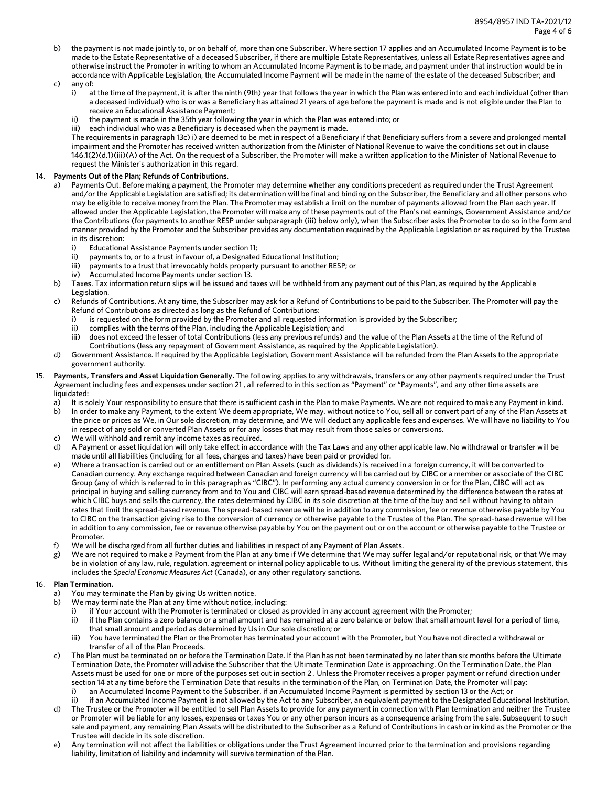- b) the payment is not made jointly to, or on behalf of, more than one Subscriber. Where section 17 applies and an Accumulated Income Payment is to be made to the Estate Representative of a deceased Subscriber, if there are multiple Estate Representatives, unless all Estate Representatives agree and otherwise instruct the Promoter in writing to whom an Accumulated Income Payment is to be made, and payment under that instruction would be in accordance with Applicable Legislation, the Accumulated Income Payment will be made in the name of the estate of the deceased Subscriber; and
- c) any of:
	- i) at the time of the payment, it is after the ninth (9th) year that follows the year in which the Plan was entered into and each individual (other than a deceased individual) who is or was a Beneficiary has attained 21 years of age before the payment is made and is not eligible under the Plan to receive an Educational Assistance Payment;
	- the payment is made in the 35th year following the year in which the Plan was entered into; or
	- iii) each individual who was a Beneficiary is deceased when the payment is made.

The requirements in paragraph 13c) i) are deemed to be met in respect of a Beneficiary if that Beneficiary suffers from a severe and prolonged mental impairment and the Promoter has received written authorization from the Minister of National Revenue to waive the conditions set out in clause 146.1(2)(d.1)(iii)(A) of the Act. On the request of a Subscriber, the Promoter will make a written application to the Minister of National Revenue to request the Minister's authorization in this regard.

### 14. **Payments Out of the Plan; Refunds of Contributions**.

- a) Payments Out. Before making a payment, the Promoter may determine whether any conditions precedent as required under the Trust Agreement and/or the Applicable Legislation are satisfied; its determination will be final and binding on the Subscriber, the Beneficiary and all other persons who may be eligible to receive money from the Plan. The Promoter may establish a limit on the number of payments allowed from the Plan each year. If allowed under the Applicable Legislation, the Promoter will make any of these payments out of the Plan's net earnings, Government Assistance and/or the Contributions (for payments to another RESP under subparagraph (iii) below only), when the Subscriber asks the Promoter to do so in the form and manner provided by the Promoter and the Subscriber provides any documentation required by the Applicable Legislation or as required by the Trustee in its discretion:
	- i) Educational Assistance Payments under section 11;
	- ii) payments to, or to a trust in favour of, a Designated Educational Institution;
	- iii) payments to a trust that irrevocably holds property pursuant to another RESP; or
	- iv) Accumulated Income Payments under section 13.
- b) Taxes. Tax information return slips will be issued and taxes will be withheld from any payment out of this Plan, as required by the Applicable Legislation.
- c) Refunds of Contributions. At any time, the Subscriber may ask for a Refund of Contributions to be paid to the Subscriber. The Promoter will pay the Refund of Contributions as directed as long as the Refund of Contributions:
	- i) is requested on the form provided by the Promoter and all requested information is provided by the Subscriber;
	- ii) complies with the terms of the Plan, including the Applicable Legislation; and
	- iii) does not exceed the lesser of total Contributions (less any previous refunds) and the value of the Plan Assets at the time of the Refund of Contributions (less any repayment of Government Assistance, as required by the Applicable Legislation).
- d) Government Assistance. If required by the Applicable Legislation, Government Assistance will be refunded from the Plan Assets to the appropriate government authority.
- 15. **Payments, Transfers and Asset Liquidation Generally.** The following applies to any withdrawals, transfers or any other payments required under the Trust Agreement including fees and expenses under section 21 , all referred to in this section as "Payment" or "Payments", and any other time assets are liquidated:
	- a) It is solely Your responsibility to ensure that there is sufficient cash in the Plan to make Payments. We are not required to make any Payment in kind.
	- b) In order to make any Payment, to the extent We deem appropriate, We may, without notice to You, sell all or convert part of any of the Plan Assets at the price or prices as We, in Our sole discretion, may determine, and We will deduct any applicable fees and expenses. We will have no liability to You in respect of any sold or converted Plan Assets or for any losses that may result from those sales or conversions.
	- c) We will withhold and remit any income taxes as required.
	- d) A Payment or asset liquidation will only take effect in accordance with the Tax Laws and any other applicable law. No withdrawal or transfer will be made until all liabilities (including for all fees, charges and taxes) have been paid or provided for.
	- e) Where a transaction is carried out or an entitlement on Plan Assets (such as dividends) is received in a foreign currency, it will be converted to Canadian currency. Any exchange required between Canadian and foreign currency will be carried out by CIBC or a member or associate of the CIBC Group (any of which is referred to in this paragraph as "CIBC"). In performing any actual currency conversion in or for the Plan, CIBC will act as principal in buying and selling currency from and to You and CIBC will earn spread-based revenue determined by the difference between the rates at which CIBC buys and sells the currency, the rates determined by CIBC in its sole discretion at the time of the buy and sell without having to obtain rates that limit the spread-based revenue. The spread-based revenue will be in addition to any commission, fee or revenue otherwise payable by You to CIBC on the transaction giving rise to the conversion of currency or otherwise payable to the Trustee of the Plan. The spread-based revenue will be in addition to any commission, fee or revenue otherwise payable by You on the payment out or on the account or otherwise payable to the Trustee or Promoter.
	- f) We will be discharged from all further duties and liabilities in respect of any Payment of Plan Assets.
	- g) We are not required to make a Payment from the Plan at any time if We determine that We may suffer legal and/or reputational risk, or that We may be in violation of any law, rule, regulation, agreement or internal policy applicable to us. Without limiting the generality of the previous statement, this includes the *Special Economic Measures Act* (Canada), or any other regulatory sanctions.

## 16. **Plan Termination.**

- a) You may terminate the Plan by giving Us written notice.
- b) We may terminate the Plan at any time without notice, including:
	- i) if Your account with the Promoter is terminated or closed as provided in any account agreement with the Promoter;
	- ii) if the Plan contains a zero balance or a small amount and has remained at a zero balance or below that small amount level for a period of time, that small amount and period as determined by Us in Our sole discretion; or
	- iii) You have terminated the Plan or the Promoter has terminated your account with the Promoter, but You have not directed a withdrawal or transfer of all of the Plan Proceeds.
- c) The Plan must be terminated on or before the Termination Date. If the Plan has not been terminated by no later than six months before the Ultimate Termination Date, the Promoter will advise the Subscriber that the Ultimate Termination Date is approaching. On the Termination Date, the Plan Assets must be used for one or more of the purposes set out in section 2 . Unless the Promoter receives a proper payment or refund direction under section 14 at any time before the Termination Date that results in the termination of the Plan, on Termination Date, the Promoter will pay:
	- an Accumulated Income Payment to the Subscriber, if an Accumulated Income Payment is permitted by section 13 or the Act; or
- ii) if an Accumulated Income Payment is not allowed by the Act to any Subscriber, an equivalent payment to the Designated Educational Institution. The Trustee or the Promoter will be entitled to sell Plan Assets to provide for any payment in connection with Plan termination and neither the Trustee or Promoter will be liable for any losses, expenses or taxes You or any other person incurs as a consequence arising from the sale. Subsequent to such sale and payment, any remaining Plan Assets will be distributed to the Subscriber as a Refund of Contributions in cash or in kind as the Promoter or the Trustee will decide in its sole discretion.
- e) Any termination will not affect the liabilities or obligations under the Trust Agreement incurred prior to the termination and provisions regarding liability, limitation of liability and indemnity will survive termination of the Plan.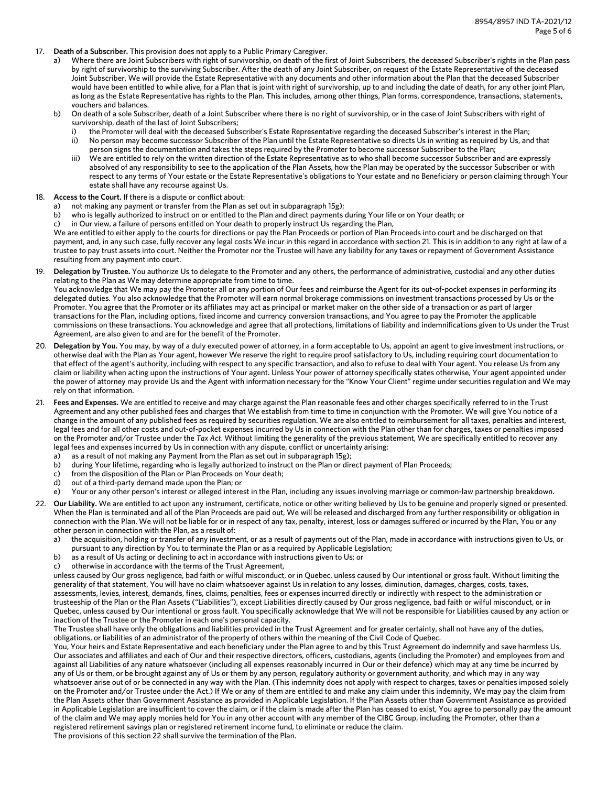- 17. **Death of a Subscriber.** This provision does not apply to a Public Primary Caregiver.
	- Where there are Joint Subscribers with right of survivorship, on death of the first of Joint Subscribers, the deceased Subscriber's rights in the Plan pass by right of survivorship to the surviving Subscriber. After the death of any Joint Subscriber, on request of the Estate Representative of the deceased Joint Subscriber, We will provide the Estate Representative with any documents and other information about the Plan that the deceased Subscriber would have been entitled to while alive, for a Plan that is joint with right of survivorship, up to and including the date of death, for any other joint Plan, as long as the Estate Representative has rights to the Plan. This includes, among other things, Plan forms, correspondence, transactions, statements, vouchers and balances.
	- b) On death of a sole Subscriber, death of a Joint Subscriber where there is no right of survivorship, or in the case of Joint Subscribers with right of survivorship, death of the last of Joint Subscribers;
		- i) the Promoter will deal with the deceased Subscriber's Estate Representative regarding the deceased Subscriber's interest in the Plan; ii) No person may become successor Subscriber of the Plan until the Estate Representative so directs Us in writing as required by Us, and that
		- person signs the documentation and takes the steps required by the Promoter to become successor Subscriber to the Plan; iii) We are entitled to rely on the written direction of the Estate Representative as to who shall become successor Subscriber and are expressly absolved of any responsibility to see to the application of the Plan Assets, how the Plan may be operated by the successor Subscriber or with respect to any terms of Your estate or the Estate Representative's obligations to Your estate and no Beneficiary or person claiming through Your estate shall have any recourse against Us.
- 18. **Access to the Court.** If there is a dispute or conflict about:
	- a) not making any payment or transfer from the Plan as set out in subparagraph 15g);
	- b) who is legally authorized to instruct on or entitled to the Plan and direct payments during Your life or on Your death; or
	- c) in Our view, a failure of persons entitled on Your death to properly instruct Us regarding the Plan,

We are entitled to either apply to the courts for directions or pay the Plan Proceeds or portion of Plan Proceeds into court and be discharged on that payment, and, in any such case, fully recover any legal costs We incur in this regard in accordance with section 21. This is in addition to any right at law of a trustee to pay trust assets into court. Neither the Promoter nor the Trustee will have any liability for any taxes or repayment of Government Assistance resulting from any payment into court.

19. **Delegation by Trustee.** You authorize Us to delegate to the Promoter and any others, the performance of administrative, custodial and any other duties relating to the Plan as We may determine appropriate from time to time.

You acknowledge that We may pay the Promoter all or any portion of Our fees and reimburse the Agent for its out-of-pocket expenses in performing its delegated duties. You also acknowledge that the Promoter will earn normal brokerage commissions on investment transactions processed by Us or the Promoter. You agree that the Promoter or its affiliates may act as principal or market maker on the other side of a transaction or as part of larger transactions for the Plan, including options, fixed income and currency conversion transactions, and You agree to pay the Promoter the applicable commissions on these transactions. You acknowledge and agree that all protections, limitations of liability and indemnifications given to Us under the Trust Agreement, are also given to and are for the benefit of the Promoter.

- 20. **Delegation by You.** You may, by way of a duly executed power of attorney, in a form acceptable to Us, appoint an agent to give investment instructions, or otherwise deal with the Plan as Your agent, however We reserve the right to require proof satisfactory to Us, including requiring court documentation to that effect of the agent's authority, including with respect to any specific transaction, and also to refuse to deal with Your agent. You release Us from any claim or liability when acting upon the instructions of Your agent. Unless Your power of attorney specifically states otherwise, Your agent appointed under the power of attorney may provide Us and the Agent with information necessary for the "Know Your Client" regime under securities regulation and We may rely on that information.
- 21. **Fees and Expenses.** We are entitled to receive and may charge against the Plan reasonable fees and other charges specifically referred to in the Trust Agreement and any other published fees and charges that We establish from time to time in conjunction with the Promoter. We will give You notice of a change in the amount of any published fees as required by securities regulation. We are also entitled to reimbursement for all taxes, penalties and interest, legal fees and for all other costs and out-of-pocket expenses incurred by Us in connection with the Plan other than for charges, taxes or penalties imposed on the Promoter and/or Trustee under the *Tax Act*. Without limiting the generality of the previous statement, We are specifically entitled to recover any legal fees and expenses incurred by Us in connection with any dispute, conflict or uncertainty arising:
	- a) as a result of not making any Payment from the Plan as set out in subparagraph 15g);
	- b) during Your lifetime, regarding who is legally authorized to instruct on the Plan or direct payment of Plan Proceeds;
	- c) from the disposition of the Plan or Plan Proceeds on Your death;
	- d) out of a third-party demand made upon the Plan; or
	- e) Your or any other person's interest or alleged interest in the Plan, including any issues involving marriage or common-law partnership breakdown.
- 22. **Our Liability.** We are entitled to act upon any instrument, certificate, notice or other writing believed by Us to be genuine and properly signed or presented. When the Plan is terminated and all of the Plan Proceeds are paid out, We will be released and discharged from any further responsibility or obligation in connection with the Plan. We will not be liable for or in respect of any tax, penalty, interest, loss or damages suffered or incurred by the Plan, You or any other person in connection with the Plan, as a result of:
	- a) the acquisition, holding or transfer of any investment, or as a result of payments out of the Plan, made in accordance with instructions given to Us, or pursuant to any direction by You to terminate the Plan or as a required by Applicable Legislation;
	- b) as a result of Us acting or declining to act in accordance with instructions given to Us; or
	- c) otherwise in accordance with the terms of the Trust Agreement,

unless caused by Our gross negligence, bad faith or wilful misconduct, or in Quebec, unless caused by Our intentional or gross fault. Without limiting the generality of that statement, You will have no claim whatsoever against Us in relation to any losses, diminution, damages, charges, costs, taxes, assessments, levies, interest, demands, fines, claims, penalties, fees or expenses incurred directly or indirectly with respect to the administration or trusteeship of the Plan or the Plan Assets ("Liabilities"), except Liabilities directly caused by Our gross negligence, bad faith or wilful misconduct, or in Quebec, unless caused by Our intentional or gross fault. You specifically acknowledge that We will not be responsible for Liabilities caused by any action or inaction of the Trustee or the Promoter in each one's personal capacity.

The Trustee shall have only the obligations and liabilities provided in the Trust Agreement and for greater certainty, shall not have any of the duties, obligations, or liabilities of an administrator of the property of others within the meaning of the Civil Code of Quebec.

You, Your heirs and Estate Representative and each beneficiary under the Plan agree to and by this Trust Agreement do indemnify and save harmless Us, Our associates and affiliates and each of Our and their respective directors, officers, custodians, agents (including the Promoter) and employees from and against all Liabilities of any nature whatsoever (including all expenses reasonably incurred in Our or their defence) which may at any time be incurred by any of Us or them, or be brought against any of Us or them by any person, regulatory authority or government authority, and which may in any way whatsoever arise out of or be connected in any way with the Plan. (This indemnity does not apply with respect to charges, taxes or penalties imposed solely on the Promoter and/or Trustee under the Act.) If We or any of them are entitled to and make any claim under this indemnity, We may pay the claim from the Plan Assets other than Government Assistance as provided in Applicable Legislation. If the Plan Assets other than Government Assistance as provided in Applicable Legislation are insufficient to cover the claim, or if the claim is made after the Plan has ceased to exist, You agree to personally pay the amount of the claim and We may apply monies held for You in any other account with any member of the CIBC Group, including the Promoter, other than a registered retirement savings plan or registered retirement income fund, to eliminate or reduce the claim.

The provisions of this section 22 shall survive the termination of the Plan.